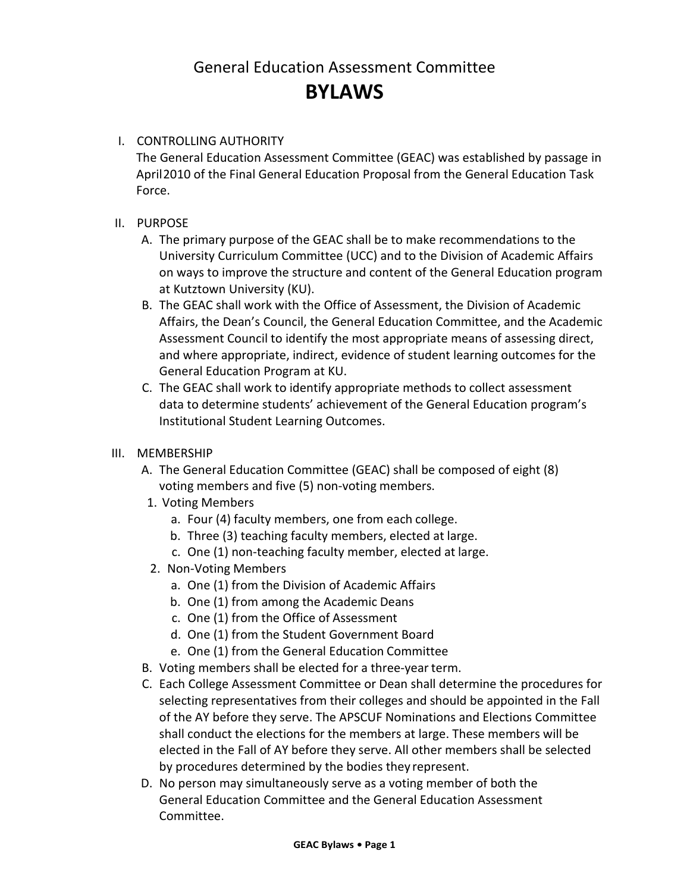# General Education Assessment Committee **BYLAWS**

# I. CONTROLLING AUTHORITY

The General Education Assessment Committee (GEAC) was established by passage in April2010 of the Final General Education Proposal from the General Education Task Force.

# II. PURPOSE

- A. The primary purpose of the GEAC shall be to make recommendations to the University Curriculum Committee (UCC) and to the Division of Academic Affairs on ways to improve the structure and content of the General Education program at Kutztown University (KU).
- B. The GEAC shall work with the Office of Assessment, the Division of Academic Affairs, the Dean's Council, the General Education Committee, and the Academic Assessment Council to identify the most appropriate means of assessing direct, and where appropriate, indirect, evidence of student learning outcomes for the General Education Program at KU.
- C. The GEAC shall work to identify appropriate methods to collect assessment data to determine students' achievement of the General Education program's Institutional Student Learning Outcomes.

#### III. MEMBERSHIP

- A. The General Education Committee (GEAC) shall be composed of eight (8) voting members and five (5) non‐voting members.
- 1. Voting Members
	- a. Four (4) faculty members, one from each college.
	- b. Three (3) teaching faculty members, elected at large.
	- c. One (1) non‐teaching faculty member, elected at large.
- 2. Non‐Voting Members
	- a. One (1) from the Division of Academic Affairs
	- b. One (1) from among the Academic Deans
	- c. One (1) from the Office of Assessment
	- d. One (1) from the Student Government Board
	- e. One (1) from the General Education Committee
- B. Voting members shall be elected for a three‐year term.
- C. Each College Assessment Committee or Dean shall determine the procedures for selecting representatives from their colleges and should be appointed in the Fall of the AY before they serve. The APSCUF Nominations and Elections Committee shall conduct the elections for the members at large. These members will be elected in the Fall of AY before they serve. All other members shall be selected by procedures determined by the bodies they represent.
- D. No person may simultaneously serve as a voting member of both the General Education Committee and the General Education Assessment Committee.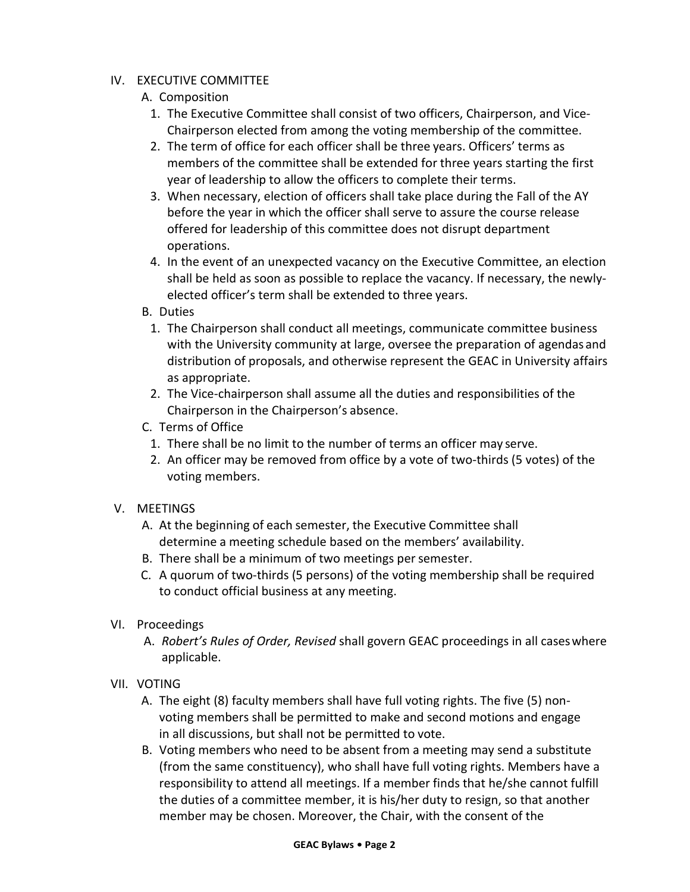# IV. EXECUTIVE COMMITTEE

# A. Composition

- 1. The Executive Committee shall consist of two officers, Chairperson, and Vice‐ Chairperson elected from among the voting membership of the committee.
- 2. The term of office for each officer shall be three years. Officers' terms as members of the committee shall be extended for three years starting the first year of leadership to allow the officers to complete their terms.
- 3. When necessary, election of officers shall take place during the Fall of the AY before the year in which the officer shall serve to assure the course release offered for leadership of this committee does not disrupt department operations.
- 4. In the event of an unexpected vacancy on the Executive Committee, an election shall be held as soon as possible to replace the vacancy. If necessary, the newly‐ elected officer's term shall be extended to three years.
- B. Duties
	- 1. The Chairperson shall conduct all meetings, communicate committee business with the University community at large, oversee the preparation of agendasand distribution of proposals, and otherwise represent the GEAC in University affairs as appropriate.
	- 2. The Vice‐chairperson shall assume all the duties and responsibilities of the Chairperson in the Chairperson's absence.
- C. Terms of Office
	- 1. There shall be no limit to the number of terms an officer may serve.
	- 2. An officer may be removed from office by a vote of two-thirds (5 votes) of the voting members.
- V. MEETINGS
	- A. At the beginning of each semester, the Executive Committee shall determine a meeting schedule based on the members' availability.
	- B. There shall be a minimum of two meetings persemester.
	- C. A quorum of two‐thirds (5 persons) of the voting membership shall be required to conduct official business at any meeting.
- VI. Proceedings
	- A. *Robert's Rules of Order, Revised* shall govern GEAC proceedings in all caseswhere applicable.
- VII. VOTING
	- A. The eight (8) faculty members shall have full voting rights. The five (5) non‐ voting members shall be permitted to make and second motions and engage in all discussions, but shall not be permitted to vote.
	- B. Voting members who need to be absent from a meeting may send a substitute (from the same constituency), who shall have full voting rights. Members have a responsibility to attend all meetings. If a member finds that he/she cannot fulfill the duties of a committee member, it is his/her duty to resign, so that another member may be chosen. Moreover, the Chair, with the consent of the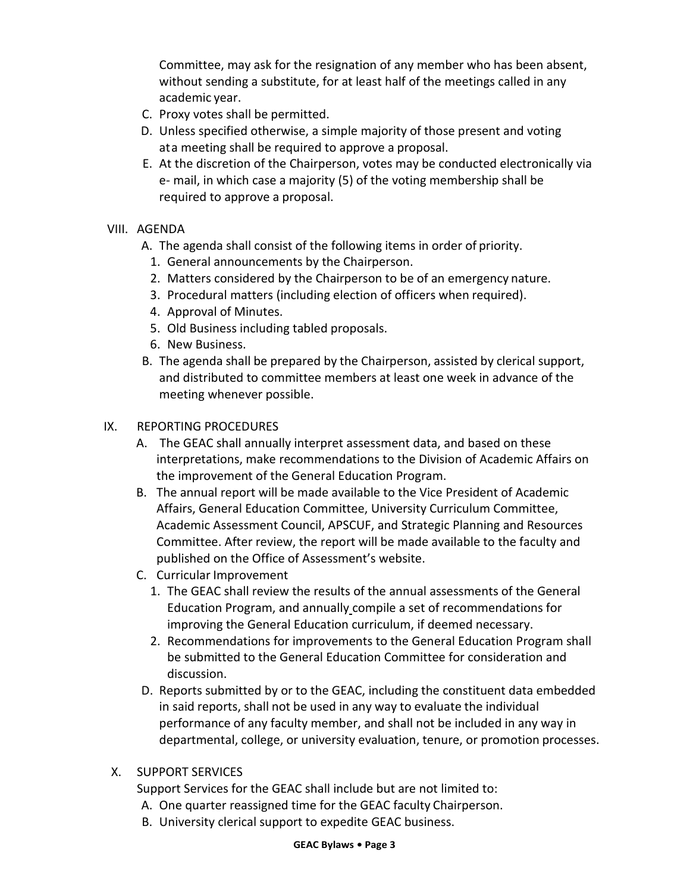Committee, may ask for the resignation of any member who has been absent, without sending a substitute, for at least half of the meetings called in any academic year.

- C. Proxy votes shall be permitted.
- D. Unless specified otherwise, a simple majority of those present and voting ata meeting shall be required to approve a proposal.
- E. At the discretion of the Chairperson, votes may be conducted electronically via e‐ mail, in which case a majority (5) of the voting membership shall be required to approve a proposal.
- VIII. AGENDA
	- A. The agenda shall consist of the following items in order of priority.
		- 1. General announcements by the Chairperson.
		- 2. Matters considered by the Chairperson to be of an emergency nature.
		- 3. Procedural matters (including election of officers when required).
		- 4. Approval of Minutes.
		- 5. Old Business including tabled proposals.
		- 6. New Business.
	- B. The agenda shall be prepared by the Chairperson, assisted by clerical support, and distributed to committee members at least one week in advance of the meeting whenever possible.
- IX. REPORTING PROCEDURES
	- A. The GEAC shall annually interpret assessment data, and based on these interpretations, make recommendations to the Division of Academic Affairs on the improvement of the General Education Program.
	- B. The annual report will be made available to the Vice President of Academic Affairs, General Education Committee, University Curriculum Committee, Academic Assessment Council, APSCUF, and Strategic Planning and Resources Committee. After review, the report will be made available to the faculty and published on the Office of Assessment's website.
	- C. Curricular Improvement
		- 1. The GEAC shall review the results of the annual assessments of the General Education Program, and annually compile a set of recommendations for improving the General Education curriculum, if deemed necessary.
		- 2. Recommendations for improvements to the General Education Program shall be submitted to the General Education Committee for consideration and discussion.
	- D. Reports submitted by or to the GEAC, including the constituent data embedded in said reports, shall not be used in any way to evaluate the individual performance of any faculty member, and shall not be included in any way in departmental, college, or university evaluation, tenure, or promotion processes.
- X. SUPPORT SERVICES

Support Services for the GEAC shall include but are not limited to:

- A. One quarter reassigned time for the GEAC faculty Chairperson.
- B. University clerical support to expedite GEAC business.

#### **GEAC Bylaws • Page 3**